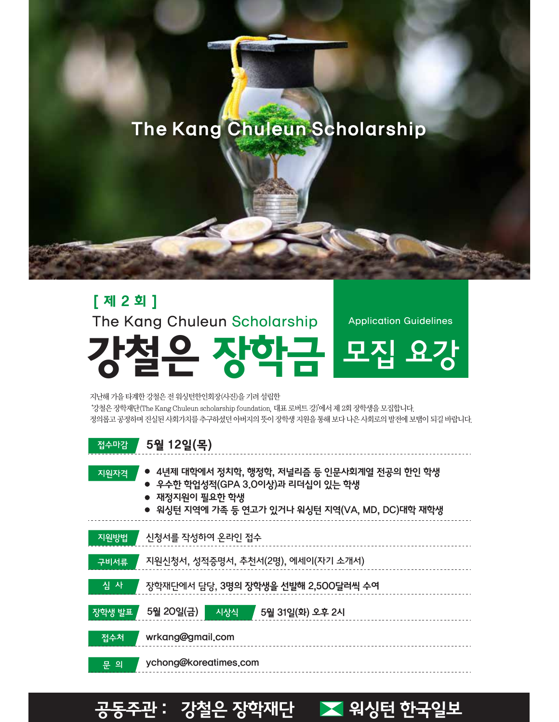# 은 장학재단 <mark>><</mark> 워싱턴 한국일보



지난해 가을 타계한 강철은 전 워싱턴한인회장(사진)을 기려 설립한 '강철은 장학재단(The Kang Chuleun scholarship foundation, 대표 로버트 강)'에서 제 2회 장학생을 모집합니다. 정의롭고 공정하며 진실된 사회가치를 추구하셨던 아버지의 뜻이 장학생 지원을 통해 보다 나은 사회로의 발전에 보탬이 되길 바랍니다.

### 강철은 장학금 The Kang Chuleun Scholarship 모집 요강 Application Guidelines

[ 제 2 회 ]

5월 12일(목)

접수마감

# The Kang Chuleun Scholarship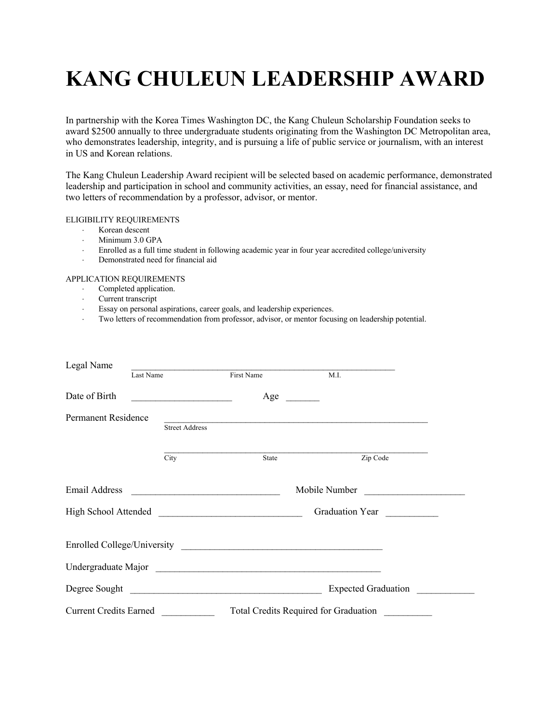## **KANG CHULEUN LEADERSHIP AWARD**

In partnership with the Korea Times Washington DC, the Kang Chuleun Scholarship Foundation seeks to award \$2500 annually to three undergraduate students originating from the Washington DC Metropolitan area, who demonstrates leadership, integrity, and is pursuing a life of public service or journalism, with an interest in US and Korean relations.

The Kang Chuleun Leadership Award recipient will be selected based on academic performance, demonstrated leadership and participation in school and community activities, an essay, need for financial assistance, and two letters of recommendation by a professor, advisor, or mentor.

### ELIGIBILITY REQUIREMENTS

- × Korean descent
- $\cdot$  Minimum 3.0 GPA
- × Enrolled as a full time student in following academic year in four year accredited college/university
- · Demonstrated need for financial aid

### APPLICATION REQUIREMENTS

- Completed application.
- · Current transcript
- $\cdot$  Essay on personal aspirations, career goals, and leadership experiences.
- × Two letters of recommendation from professor, advisor, or mentor focusing on leadership potential.

| Legal Name                                                                   |                       |                                                                     |                                       |  |  |
|------------------------------------------------------------------------------|-----------------------|---------------------------------------------------------------------|---------------------------------------|--|--|
|                                                                              | Last Name             | First Name                                                          | M.I.                                  |  |  |
| Date of Birth                                                                |                       | Age                                                                 |                                       |  |  |
| <b>Permanent Residence</b>                                                   | <b>Street Address</b> | <u> 1989 - Johann John Stone, mars and deutscher Stone († 1989)</u> |                                       |  |  |
|                                                                              | City                  | State                                                               | Zip Code                              |  |  |
| Email Address<br><u> 1989 - Johann Stein, mars an de Francisco (f. 1989)</u> |                       |                                                                     | Mobile Number                         |  |  |
|                                                                              |                       |                                                                     | Graduation Year <u>New Year</u>       |  |  |
|                                                                              |                       |                                                                     |                                       |  |  |
|                                                                              |                       |                                                                     |                                       |  |  |
|                                                                              |                       | Degree Sought                                                       | <b>Expected Graduation</b>            |  |  |
| <b>Current Credits Earned</b>                                                |                       |                                                                     | Total Credits Required for Graduation |  |  |